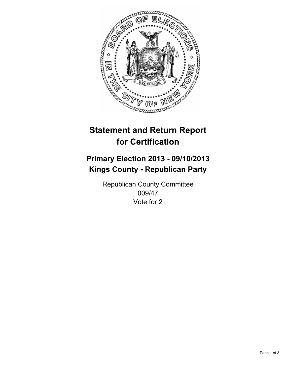

# **Statement and Return Report for Certification**

# **Primary Election 2013 - 09/10/2013 Kings County - Republican Party**

Republican County Committee 009/47 Vote for 2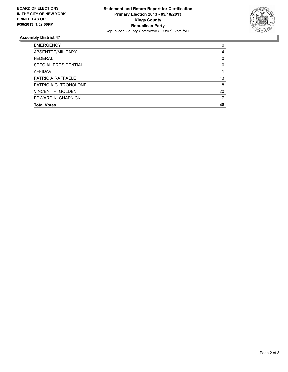

## **Assembly District 47**

| <b>EMERGENCY</b>      | 0  |
|-----------------------|----|
| ABSENTEE/MILITARY     | 4  |
| <b>FEDERAL</b>        | 0  |
| SPECIAL PRESIDENTIAL  | 0  |
| <b>AFFIDAVIT</b>      |    |
| PATRICIA RAFFAELE     | 13 |
| PATRICIA G. TRONOLONE | 8  |
| VINCENT R. GOLDEN     | 20 |
| EDWARD K. CHAPNICK    |    |
| <b>Total Votes</b>    | 48 |